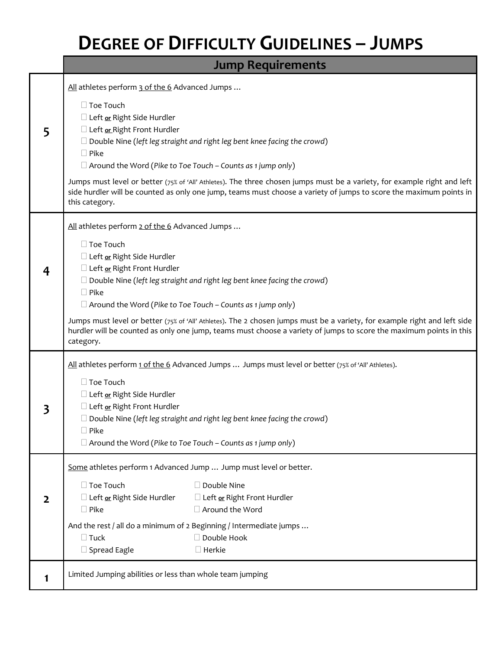## **DEGREE OF DIFFICULTY GUIDELINES – JUMPS**

### **Jump Requirements**

| 5              | All athletes perform 3 of the 6 Advanced Jumps<br>□ Toe Touch<br>□ Left or Right Side Hurdler<br>□ Left or Right Front Hurdler<br>$\Box$ Double Nine (left leg straight and right leg bent knee facing the crowd)<br>$\Box$ Pike<br>$\Box$ Around the Word (Pike to Toe Touch – Counts as 1 jump only)<br>Jumps must level or better (75% of 'All' Athletes). The three chosen jumps must be a variety, for example right and left<br>side hurdler will be counted as only one jump, teams must choose a variety of jumps to score the maximum points in<br>this category.     |  |  |  |  |  |  |
|----------------|--------------------------------------------------------------------------------------------------------------------------------------------------------------------------------------------------------------------------------------------------------------------------------------------------------------------------------------------------------------------------------------------------------------------------------------------------------------------------------------------------------------------------------------------------------------------------------|--|--|--|--|--|--|
|                | All athletes perform 2 of the 6 Advanced Jumps<br>□ Toe Touch<br>□ Left or Right Side Hurdler<br>$\Box$ Left or Right Front Hurdler<br>$\Box$ Double Nine (left leg straight and right leg bent knee facing the crowd)<br>$\square$ Pike<br>$\Box$ Around the Word (Pike to Toe Touch – Counts as 1 jump only)<br>Jumps must level or better (75% of 'All' Athletes). The 2 chosen jumps must be a variety, for example right and left side<br>hurdler will be counted as only one jump, teams must choose a variety of jumps to score the maximum points in this<br>category. |  |  |  |  |  |  |
| 3              | All athletes perform 1 of the 6 Advanced Jumps  Jumps must level or better (75% of 'All' Athletes).<br>$\Box$ Toe Touch<br>□ Left or Right Side Hurdler<br>□ Left or Right Front Hurdler<br>$\Box$ Double Nine (left leg straight and right leg bent knee facing the crowd)<br>$\square$ Pike<br>$\Box$ Around the Word (Pike to Toe Touch – Counts as 1 jump only)                                                                                                                                                                                                            |  |  |  |  |  |  |
| $\overline{2}$ | Some athletes perform 1 Advanced Jump  Jump must level or better.<br>□ Toe Touch<br>$\square$ Double Nine<br>Left or Right Side Hurdler<br>□ Left or Right Front Hurdler<br>□ Around the Word<br>$\Box$ Pike<br>And the rest / all do a minimum of 2 Beginning / Intermediate jumps<br>$\Box$ Tuck<br>Double Hook<br>$\square$ Spread Eagle<br>$\Box$ Herkie                                                                                                                                                                                                                   |  |  |  |  |  |  |
| 1              | Limited Jumping abilities or less than whole team jumping                                                                                                                                                                                                                                                                                                                                                                                                                                                                                                                      |  |  |  |  |  |  |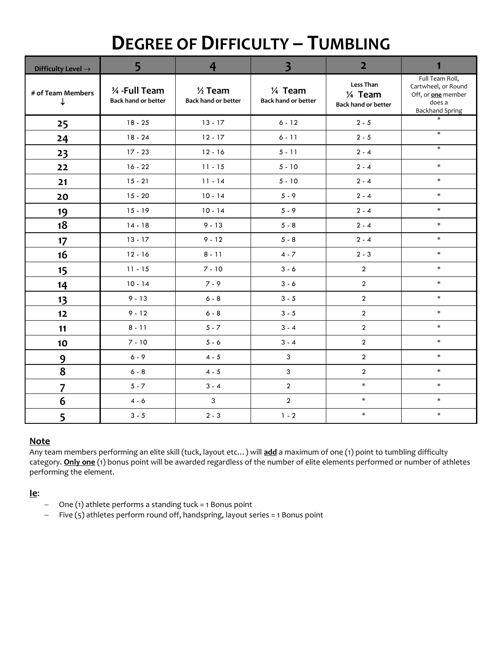### **DEGREE OF DIFFICULTY – TUMBLING**

| Difficulty Level $\rightarrow$ | 5                                             | $\overline{4}$                         | $\overline{\mathbf{3}}$                | $\overline{2}$                                              | 1                                                                                                       |
|--------------------------------|-----------------------------------------------|----------------------------------------|----------------------------------------|-------------------------------------------------------------|---------------------------------------------------------------------------------------------------------|
| # of Team Members<br>↓         | 3⁄4 - Full Team<br><b>Back hand or better</b> | $1$ Team<br><b>Back hand or better</b> | 1⁄4 Team<br><b>Back hand or better</b> | <b>Less Than</b><br>$14$ Team<br><b>Back hand or better</b> | Full Team Roll,<br>Cartwheel, or Round<br>Off, or <b>one</b> member<br>does a<br><b>Backhand Spring</b> |
| 25                             | $18 - 25$                                     | $13 - 17$                              | $6 - 12$                               | $2 - 5$                                                     | $\ast$                                                                                                  |
| 24                             | $18 - 24$                                     | $12 - 17$                              | $6 - 11$                               | $2 - 5$                                                     | $\ast$                                                                                                  |
| 23                             | $17 - 23$                                     | $12 - 16$                              | $5 - 11$                               | $2 - 4$                                                     | $\ast$                                                                                                  |
| 22                             | $16 - 22$                                     | $11 - 15$                              | $5 - 10$                               | $2 - 4$                                                     | $\ast$                                                                                                  |
| 21                             | $15 - 21$                                     | $11 - 14$                              | $5 - 10$                               | $2 - 4$                                                     | $\ast$                                                                                                  |
| 20                             | $15 - 20$                                     | $10 - 14$                              | $5 - 9$                                | $2 - 4$                                                     | $\ast$                                                                                                  |
| 19                             | $15 - 19$                                     | $10 - 14$                              | $5 - 9$                                | $2 - 4$                                                     | $\star$                                                                                                 |
| 18                             | $14 - 18$                                     | $9 - 13$                               | $5 - 8$                                | $2 - 4$                                                     | $\ast$                                                                                                  |
| 17                             | $13 - 17$                                     | $9 - 12$                               | $5 - 8$                                | $2 - 4$                                                     | $\ast$                                                                                                  |
| 16                             | $12 - 16$                                     | $8 - 11$                               | $4 - 7$                                | $2 - 3$                                                     | $\star$                                                                                                 |
| 15                             | $11 - 15$                                     | $7 - 10$                               | $3 - 6$                                | $\boldsymbol{2}$                                            | $\ast$                                                                                                  |
| 14                             | $10 - 14$                                     | $7 - 9$                                | $3 - 6$                                | $\overline{2}$                                              | $\ast$                                                                                                  |
| 13                             | $9 - 13$                                      | $6 - 8$                                | $3 - 5$                                | $\overline{2}$                                              | $\ast$                                                                                                  |
| 12                             | $9 - 12$                                      | $6 - 8$                                | $3 - 5$                                | $\overline{2}$                                              | $\ast$                                                                                                  |
| 11                             | $8 - 11$                                      | $5 - 7$                                | $3 - 4$                                | $\overline{2}$                                              | $\ast$                                                                                                  |
| 10                             | $7 - 10$                                      | $5 - 6$                                | $3 - 4$                                | $\overline{2}$                                              | $\ast$                                                                                                  |
| 9                              | $6 - 9$                                       | $4 - 5$                                | 3                                      | $\overline{a}$                                              | $\ast$                                                                                                  |
| 8                              | $6 - 8$                                       | $4 - 5$                                | 3                                      | $\overline{2}$                                              | $\star$                                                                                                 |
| $\overline{\mathbf{z}}$        | $5 - 7$                                       | $3 - 4$                                | $\overline{2}$                         | $\ast$                                                      | $\ast$                                                                                                  |
| 6                              | $4 - 6$                                       | $\mathbf{3}$                           | $\overline{2}$                         | $\ast$                                                      | $\ast$                                                                                                  |
| 5                              | $3 - 5$                                       | $2 - 3$                                | $1 - 2$                                | $\ast$                                                      | $\star$                                                                                                 |

#### **Note**

Any team members performing an elite skill (tuck, layout etc…) will **add** a maximum of one (1) point to tumbling difficulty category. **Only one** (1) bonus point will be awarded regardless of the number of elite elements performed or number of athletes performing the element.

**Ie**:

- One (1) athlete performs a standing tuck = 1 Bonus point
- $-$  Five (5) athletes perform round off, handspring, layout series = 1 Bonus point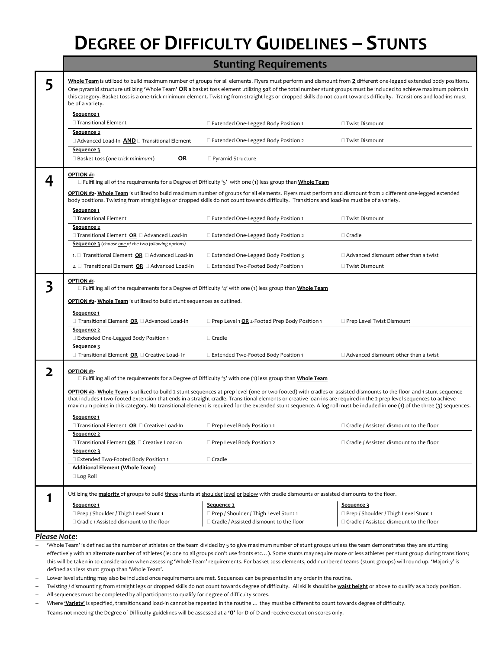## **DEGREE OF DIFFICULTY GUIDELINES – STUNTS**

#### **Stunting Requirements**

| 5 | be of a variety.                                                                                                                                                                                                                                                                                                                                           |                                                                                                                                                    | Whole Team is utilized to build maximum number of groups for all elements. Flyers must perform and dismount from 2 different one-legged extended body positions.<br>One pyramid structure utilizing 'Whole Team' OR a basket toss element utilizing 50% of the total number stunt groups must be included to achieve maximum points in<br>this category. Basket toss is a one-trick minimum element. Twisting from straight legs or dropped skills do not count towards difficulty. Transitions and load-ins must |  |  |  |
|---|------------------------------------------------------------------------------------------------------------------------------------------------------------------------------------------------------------------------------------------------------------------------------------------------------------------------------------------------------------|----------------------------------------------------------------------------------------------------------------------------------------------------|-------------------------------------------------------------------------------------------------------------------------------------------------------------------------------------------------------------------------------------------------------------------------------------------------------------------------------------------------------------------------------------------------------------------------------------------------------------------------------------------------------------------|--|--|--|
|   | Sequence 1<br>□ Transitional Element                                                                                                                                                                                                                                                                                                                       |                                                                                                                                                    |                                                                                                                                                                                                                                                                                                                                                                                                                                                                                                                   |  |  |  |
|   |                                                                                                                                                                                                                                                                                                                                                            | □ Extended One-Legged Body Position 1                                                                                                              | □ Twist Dismount                                                                                                                                                                                                                                                                                                                                                                                                                                                                                                  |  |  |  |
|   | Sequence 2<br>$\Box$ Advanced Load-In $\overline{AND} \Box$ Transitional Element                                                                                                                                                                                                                                                                           | □ Extended One-Legged Body Position 2                                                                                                              | □ Twist Dismount                                                                                                                                                                                                                                                                                                                                                                                                                                                                                                  |  |  |  |
|   | Sequence 3<br><u>OR</u><br>$\Box$ Basket toss (one trick minimum)                                                                                                                                                                                                                                                                                          | □ Pyramid Structure                                                                                                                                |                                                                                                                                                                                                                                                                                                                                                                                                                                                                                                                   |  |  |  |
| 4 | OPTION #1-                                                                                                                                                                                                                                                                                                                                                 | $\Box$ Fulfilling all of the requirements for a Degree of Difficulty '5' with one (1) less group than <b>Whole Team</b>                            |                                                                                                                                                                                                                                                                                                                                                                                                                                                                                                                   |  |  |  |
|   | OPTION #2- Whole Team is utilized to build maximum number of groups for all elements. Flyers must perform and dismount from 2 different one-legged extended<br>body positions. Twisting from straight legs or dropped skills do not count towards difficulty. Transitions and load-ins must be of a variety.                                               |                                                                                                                                                    |                                                                                                                                                                                                                                                                                                                                                                                                                                                                                                                   |  |  |  |
|   | Sequence 1<br>□ Transitional Element                                                                                                                                                                                                                                                                                                                       | □ Extended One-Legged Body Position 1                                                                                                              | □ Twist Dismount                                                                                                                                                                                                                                                                                                                                                                                                                                                                                                  |  |  |  |
|   | Sequence 2<br>$\Box$ Transitional Element $OR \Box$ Advanced Load-In                                                                                                                                                                                                                                                                                       | □ Extended One-Legged Body Position 2                                                                                                              | $\Box$ Cradle                                                                                                                                                                                                                                                                                                                                                                                                                                                                                                     |  |  |  |
|   | Sequence 3 (choose one of the two following options)                                                                                                                                                                                                                                                                                                       |                                                                                                                                                    |                                                                                                                                                                                                                                                                                                                                                                                                                                                                                                                   |  |  |  |
|   | 1. $\Box$ Transitional Element <b>OR</b> $\Box$ Advanced Load-In                                                                                                                                                                                                                                                                                           | □ Extended One-Legged Body Position 3                                                                                                              | $\Box$ Advanced dismount other than a twist                                                                                                                                                                                                                                                                                                                                                                                                                                                                       |  |  |  |
|   | 2. $\Box$ Transitional Element OR $\Box$ Advanced Load-In                                                                                                                                                                                                                                                                                                  | □ Extended Two-Footed Body Position 1                                                                                                              | □ Twist Dismount                                                                                                                                                                                                                                                                                                                                                                                                                                                                                                  |  |  |  |
| 3 | OPTION #1-<br><b>OPTION #2- Whole Team</b> is utilized to build stunt sequences as outlined.<br>Sequence 1                                                                                                                                                                                                                                                 | $\Box$ Fulfilling all of the requirements for a Degree of Difficulty '4' with one (1) less group than <b>Whole Team</b>                            |                                                                                                                                                                                                                                                                                                                                                                                                                                                                                                                   |  |  |  |
|   | $\Box$ Transitional Element <b>OR</b> $\Box$ Advanced Load-In<br>Sequence 2                                                                                                                                                                                                                                                                                | $\Box$ Prep Level 1 OR 2-Footed Prep Body Position 1                                                                                               | □ Prep Level Twist Dismount                                                                                                                                                                                                                                                                                                                                                                                                                                                                                       |  |  |  |
|   | □ Extended One-Legged Body Position 1                                                                                                                                                                                                                                                                                                                      | □ Cradle                                                                                                                                           |                                                                                                                                                                                                                                                                                                                                                                                                                                                                                                                   |  |  |  |
|   | Sequence 3<br>$\Box$ Transitional Element $\Omega$ R $\Box$ Creative Load- In                                                                                                                                                                                                                                                                              | □ Extended Two-Footed Body Position 1                                                                                                              | $\Box$ Advanced dismount other than a twist                                                                                                                                                                                                                                                                                                                                                                                                                                                                       |  |  |  |
| 2 | OPTION #1-<br>OPTION #2- Whole Team is utilized to build 2 stunt sequences at prep level (one or two footed) with cradles or assisted dismounts to the floor and 1 stunt sequence<br>that includes 1 two-footed extension that ends in a straight cradle. Transitional elements or creative loan-ins are required in the 2 prep level sequences to achieve | $\Box$ Fulfilling all of the requirements for a Degree of Difficulty '3' with one (1) less group than <b>Whole Team</b>                            | maximum points in this category. No transitional element is required for the extended stunt sequence. A log roll must be included in <b>one</b> (1) of the three (3) sequences.                                                                                                                                                                                                                                                                                                                                   |  |  |  |
|   | Sequence 1                                                                                                                                                                                                                                                                                                                                                 |                                                                                                                                                    |                                                                                                                                                                                                                                                                                                                                                                                                                                                                                                                   |  |  |  |
|   | $\Box$ Transitional Element OR $\Box$ Creative Load-In                                                                                                                                                                                                                                                                                                     | □ Prep Level Body Position 1                                                                                                                       | $\Box$ Cradle / Assisted dismount to the floor                                                                                                                                                                                                                                                                                                                                                                                                                                                                    |  |  |  |
|   | Sequence 2                                                                                                                                                                                                                                                                                                                                                 |                                                                                                                                                    |                                                                                                                                                                                                                                                                                                                                                                                                                                                                                                                   |  |  |  |
|   | □ Transitional Element OR □ Creative Load-In                                                                                                                                                                                                                                                                                                               | Prep Level Body Position 2                                                                                                                         | □ Cradle / Assisted dismount to the floor                                                                                                                                                                                                                                                                                                                                                                                                                                                                         |  |  |  |
|   | Sequence 3                                                                                                                                                                                                                                                                                                                                                 |                                                                                                                                                    |                                                                                                                                                                                                                                                                                                                                                                                                                                                                                                                   |  |  |  |
|   | □ Extended Two-Footed Body Position 1<br><b>Additional Element (Whole Team)</b>                                                                                                                                                                                                                                                                            | $\Box$ Cradle                                                                                                                                      |                                                                                                                                                                                                                                                                                                                                                                                                                                                                                                                   |  |  |  |
|   | $\Box$ Log Roll                                                                                                                                                                                                                                                                                                                                            |                                                                                                                                                    |                                                                                                                                                                                                                                                                                                                                                                                                                                                                                                                   |  |  |  |
|   |                                                                                                                                                                                                                                                                                                                                                            | Utilizing the <b>majority</b> of groups to build three stunts at shoulder level or below with cradle dismounts or assisted dismounts to the floor. |                                                                                                                                                                                                                                                                                                                                                                                                                                                                                                                   |  |  |  |
|   | Sequence 1                                                                                                                                                                                                                                                                                                                                                 | Sequence 2                                                                                                                                         | Sequence 3                                                                                                                                                                                                                                                                                                                                                                                                                                                                                                        |  |  |  |
|   | □ Prep / Shoulder / Thigh Level Stunt 1<br>$\Box$ Cradle / Assisted dismount to the floor                                                                                                                                                                                                                                                                  | Prep / Shoulder / Thigh Level Stunt 1<br>□ Cradle / Assisted dismount to the floor                                                                 | □ Prep / Shoulder / Thigh Level Stunt 1<br>□ Cradle / Assisted dismount to the floor                                                                                                                                                                                                                                                                                                                                                                                                                              |  |  |  |
|   |                                                                                                                                                                                                                                                                                                                                                            |                                                                                                                                                    |                                                                                                                                                                                                                                                                                                                                                                                                                                                                                                                   |  |  |  |

*Please Note***:**

'Whole Team' is defined as the number of athletes on the team divided by 5 to give maximum number of stunt groups unless the team demonstrates they are stunting effectively with an alternate number of athletes (ie: one to all groups don't use fronts etc…). Some stunts may require more or less athletes per stunt group during transitions; this will be taken in to consideration when assessing 'Whole Team' requirements. For basket toss elements, odd numbered teams (stunt groups) will round up. 'Majority' is defined as 1 less stunt group than 'Whole Team'.

Lower level stunting may also be included once requirements are met. Sequences can be presented in any order in the routine.

Twisting / dismounting from straight legs or dropped skills do not count towards degree of difficulty. All skills should be **waist height** or above to qualify as a body position.

All sequences must be completed by all participants to qualify for degree of difficulty scores.

Where **'Variety'** is specified, transitions and load-in cannot be repeated in the routine … they must be different to count towards degree of difficulty.

Teams not meeting the Degree of Difficulty guidelines will be assessed at a **'0'** for D of D and receive execution scores only.